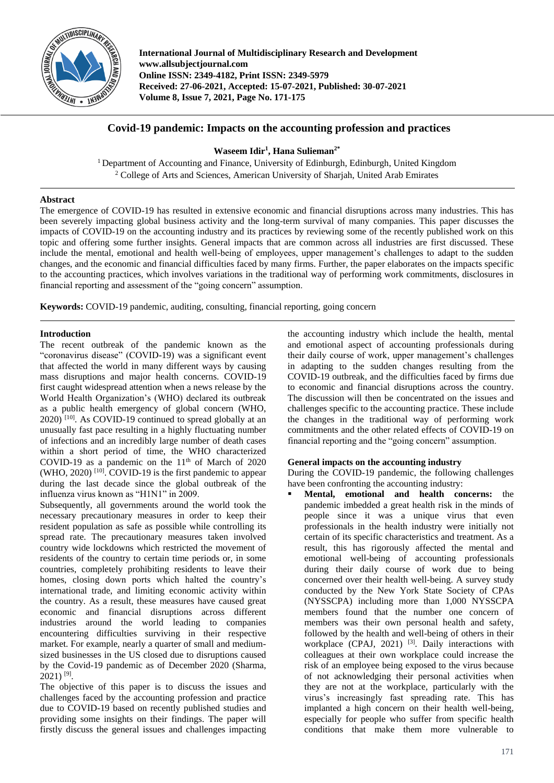

**International Journal of Multidisciplinary Research and Development www.allsubjectjournal.com Online ISSN: 2349-4182, Print ISSN: 2349-5979 Received: 27-06-2021, Accepted: 15-07-2021, Published: 30-07-2021 Volume 8, Issue 7, 2021, Page No. 171-175**

# **Covid-19 pandemic: Impacts on the accounting profession and practices**

## **Waseem Idir<sup>1</sup> , Hana Sulieman2\***

<sup>1</sup> Department of Accounting and Finance, University of Edinburgh, Edinburgh, United Kingdom <sup>2</sup> College of Arts and Sciences, American University of Sharjah, United Arab Emirates

## **Abstract**

The emergence of COVID-19 has resulted in extensive economic and financial disruptions across many industries. This has been severely impacting global business activity and the long-term survival of many companies. This paper discusses the impacts of COVID-19 on the accounting industry and its practices by reviewing some of the recently published work on this topic and offering some further insights. General impacts that are common across all industries are first discussed. These include the mental, emotional and health well-being of employees, upper management's challenges to adapt to the sudden changes, and the economic and financial difficulties faced by many firms. Further, the paper elaborates on the impacts specific to the accounting practices, which involves variations in the traditional way of performing work commitments, disclosures in financial reporting and assessment of the "going concern" assumption.

**Keywords:** COVID-19 pandemic, auditing, consulting, financial reporting, going concern

## **Introduction**

The recent outbreak of the pandemic known as the "coronavirus disease" (COVID-19) was a significant event that affected the world in many different ways by causing mass disruptions and major health concerns. COVID-19 first caught widespread attention when a news release by the World Health Organization's (WHO) declared its outbreak as a public health emergency of global concern (WHO, 2020)<sup>[10]</sup>. As COVID-19 continued to spread globally at an unusually fast pace resulting in a highly fluctuating number of infections and an incredibly large number of death cases within a short period of time, the WHO characterized COVID-19 as a pandemic on the  $11<sup>th</sup>$  of March of 2020  $(WHO, 2020)$  [10]. COVID-19 is the first pandemic to appear during the last decade since the global outbreak of the influenza virus known as "H1N1" in 2009.

Subsequently, all governments around the world took the necessary precautionary measures in order to keep their resident population as safe as possible while controlling its spread rate. The precautionary measures taken involved country wide lockdowns which restricted the movement of residents of the country to certain time periods or, in some countries, completely prohibiting residents to leave their homes, closing down ports which halted the country's international trade, and limiting economic activity within the country. As a result, these measures have caused great economic and financial disruptions across different industries around the world leading to companies encountering difficulties surviving in their respective market. For example, nearly a quarter of small and mediumsized businesses in the US closed due to disruptions caused by the Covid-19 pandemic as of December 2020 (Sharma,  $2021$ )<sup>[9]</sup>.

The objective of this paper is to discuss the issues and challenges faced by the accounting profession and practice due to COVID-19 based on recently published studies and providing some insights on their findings. The paper will firstly discuss the general issues and challenges impacting

the accounting industry which include the health, mental and emotional aspect of accounting professionals during their daily course of work, upper management's challenges in adapting to the sudden changes resulting from the COVID-19 outbreak, and the difficulties faced by firms due to economic and financial disruptions across the country. The discussion will then be concentrated on the issues and challenges specific to the accounting practice. These include the changes in the traditional way of performing work commitments and the other related effects of COVID-19 on financial reporting and the "going concern" assumption.

## **General impacts on the accounting industry**

During the COVID-19 pandemic, the following challenges have been confronting the accounting industry:

 **Mental, emotional and health concerns:** the pandemic imbedded a great health risk in the minds of people since it was a unique virus that even professionals in the health industry were initially not certain of its specific characteristics and treatment. As a result, this has rigorously affected the mental and emotional well-being of accounting professionals during their daily course of work due to being concerned over their health well-being. A survey study conducted by the New York State Society of CPAs (NYSSCPA) including more than 1,000 NYSSCPA members found that the number one concern of members was their own personal health and safety, followed by the health and well-being of others in their workplace (CPAJ, 2021)<sup>[3]</sup>. Daily interactions with colleagues at their own workplace could increase the risk of an employee being exposed to the virus because of not acknowledging their personal activities when they are not at the workplace, particularly with the virus's increasingly fast spreading rate. This has implanted a high concern on their health well-being, especially for people who suffer from specific health conditions that make them more vulnerable to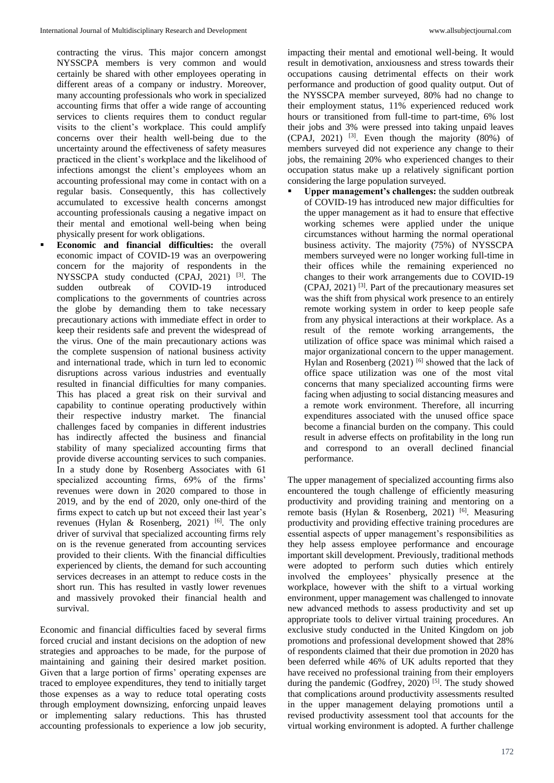contracting the virus. This major concern amongst NYSSCPA members is very common and would certainly be shared with other employees operating in different areas of a company or industry. Moreover, many accounting professionals who work in specialized accounting firms that offer a wide range of accounting services to clients requires them to conduct regular visits to the client's workplace. This could amplify concerns over their health well-being due to the uncertainty around the effectiveness of safety measures practiced in the client's workplace and the likelihood of infections amongst the client's employees whom an accounting professional may come in contact with on a regular basis. Consequently, this has collectively accumulated to excessive health concerns amongst accounting professionals causing a negative impact on their mental and emotional well-being when being physically present for work obligations.

 **Economic and financial difficulties:** the overall economic impact of COVID-19 was an overpowering concern for the majority of respondents in the NYSSCPA study conducted (CPAJ, 2021)<sup>[3]</sup>. The sudden outbreak of COVID-19 introduced complications to the governments of countries across the globe by demanding them to take necessary precautionary actions with immediate effect in order to keep their residents safe and prevent the widespread of the virus. One of the main precautionary actions was the complete suspension of national business activity and international trade, which in turn led to economic disruptions across various industries and eventually resulted in financial difficulties for many companies. This has placed a great risk on their survival and capability to continue operating productively within their respective industry market. The financial challenges faced by companies in different industries has indirectly affected the business and financial stability of many specialized accounting firms that provide diverse accounting services to such companies. In a study done by Rosenberg Associates with 61 specialized accounting firms, 69% of the firms' revenues were down in 2020 compared to those in 2019, and by the end of 2020, only one-third of the firms expect to catch up but not exceed their last year's revenues (Hylan & Rosenberg, 2021)<sup>[6]</sup>. The only driver of survival that specialized accounting firms rely on is the revenue generated from accounting services provided to their clients. With the financial difficulties experienced by clients, the demand for such accounting services decreases in an attempt to reduce costs in the short run. This has resulted in vastly lower revenues and massively provoked their financial health and survival.

Economic and financial difficulties faced by several firms forced crucial and instant decisions on the adoption of new strategies and approaches to be made, for the purpose of maintaining and gaining their desired market position. Given that a large portion of firms' operating expenses are traced to employee expenditures, they tend to initially target those expenses as a way to reduce total operating costs through employment downsizing, enforcing unpaid leaves or implementing salary reductions. This has thrusted accounting professionals to experience a low job security,

impacting their mental and emotional well-being. It would result in demotivation, anxiousness and stress towards their occupations causing detrimental effects on their work performance and production of good quality output. Out of the NYSSCPA member surveyed, 80% had no change to their employment status, 11% experienced reduced work hours or transitioned from full-time to part-time, 6% lost their jobs and 3% were pressed into taking unpaid leaves  $(CPAJ, 2021)$  <sup>[3]</sup>. Even though the majority  $(80\%)$  of members surveyed did not experience any change to their jobs, the remaining 20% who experienced changes to their occupation status make up a relatively significant portion considering the large population surveyed.

 **Upper management's challenges:** the sudden outbreak of COVID-19 has introduced new major difficulties for the upper management as it had to ensure that effective working schemes were applied under the unique circumstances without harming the normal operational business activity. The majority (75%) of NYSSCPA members surveyed were no longer working full-time in their offices while the remaining experienced no changes to their work arrangements due to COVID-19 (CPAJ, 2021) [3] . Part of the precautionary measures set was the shift from physical work presence to an entirely remote working system in order to keep people safe from any physical interactions at their workplace. As a result of the remote working arrangements, the utilization of office space was minimal which raised a major organizational concern to the upper management. Hylan and Rosenberg  $(2021)$ <sup>[6]</sup> showed that the lack of office space utilization was one of the most vital concerns that many specialized accounting firms were facing when adjusting to social distancing measures and a remote work environment. Therefore, all incurring expenditures associated with the unused office space become a financial burden on the company. This could result in adverse effects on profitability in the long run and correspond to an overall declined financial performance.

The upper management of specialized accounting firms also encountered the tough challenge of efficiently measuring productivity and providing training and mentoring on a remote basis (Hylan & Rosenberg, 2021)<sup>[6]</sup>. Measuring productivity and providing effective training procedures are essential aspects of upper management's responsibilities as they help assess employee performance and encourage important skill development. Previously, traditional methods were adopted to perform such duties which entirely involved the employees' physically presence at the workplace, however with the shift to a virtual working environment, upper management was challenged to innovate new advanced methods to assess productivity and set up appropriate tools to deliver virtual training procedures. An exclusive study conducted in the United Kingdom on job promotions and professional development showed that 28% of respondents claimed that their due promotion in 2020 has been deferred while 46% of UK adults reported that they have received no professional training from their employers during the pandemic (Godfrey, 2020)<sup>[5]</sup>. The study showed that complications around productivity assessments resulted in the upper management delaying promotions until a revised productivity assessment tool that accounts for the virtual working environment is adopted. A further challenge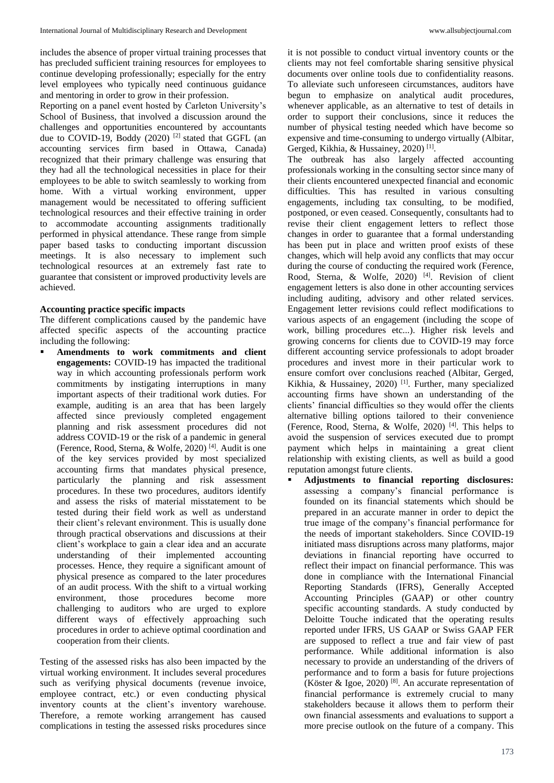includes the absence of proper virtual training processes that has precluded sufficient training resources for employees to continue developing professionally; especially for the entry level employees who typically need continuous guidance and mentoring in order to grow in their profession.

Reporting on a panel event hosted by Carleton University's School of Business, that involved a discussion around the challenges and opportunities encountered by accountants due to COVID-19, Boddy (2020)<sup>[2]</sup> stated that GGFL (an accounting services firm based in Ottawa, Canada) recognized that their primary challenge was ensuring that they had all the technological necessities in place for their employees to be able to switch seamlessly to working from home. With a virtual working environment, upper management would be necessitated to offering sufficient technological resources and their effective training in order to accommodate accounting assignments traditionally performed in physical attendance. These range from simple paper based tasks to conducting important discussion meetings. It is also necessary to implement such technological resources at an extremely fast rate to guarantee that consistent or improved productivity levels are achieved.

#### **Accounting practice specific impacts**

The different complications caused by the pandemic have affected specific aspects of the accounting practice including the following:

 **Amendments to work commitments and client engagements:** COVID-19 has impacted the traditional way in which accounting professionals perform work commitments by instigating interruptions in many important aspects of their traditional work duties. For example, auditing is an area that has been largely affected since previously completed engagement planning and risk assessment procedures did not address COVID-19 or the risk of a pandemic in general (Ference, Rood, Sterna, & Wolfe, 2020) [4] . Audit is one of the key services provided by most specialized accounting firms that mandates physical presence, particularly the planning and risk assessment procedures. In these two procedures, auditors identify and assess the risks of material misstatement to be tested during their field work as well as understand their client's relevant environment. This is usually done through practical observations and discussions at their client's workplace to gain a clear idea and an accurate understanding of their implemented accounting processes. Hence, they require a significant amount of physical presence as compared to the later procedures of an audit process. With the shift to a virtual working environment, those procedures become more challenging to auditors who are urged to explore different ways of effectively approaching such procedures in order to achieve optimal coordination and cooperation from their clients.

Testing of the assessed risks has also been impacted by the virtual working environment. It includes several procedures such as verifying physical documents (revenue invoice, employee contract, etc.) or even conducting physical inventory counts at the client's inventory warehouse. Therefore, a remote working arrangement has caused complications in testing the assessed risks procedures since

it is not possible to conduct virtual inventory counts or the clients may not feel comfortable sharing sensitive physical documents over online tools due to confidentiality reasons. To alleviate such unforeseen circumstances, auditors have begun to emphasize on analytical audit procedures, whenever applicable, as an alternative to test of details in order to support their conclusions, since it reduces the number of physical testing needed which have become so expensive and time-consuming to undergo virtually (Albitar, Gerged, Kikhia, & Hussainey, 2020)<sup>[1]</sup>.

The outbreak has also largely affected accounting professionals working in the consulting sector since many of their clients encountered unexpected financial and economic difficulties. This has resulted in various consulting engagements, including tax consulting, to be modified, postponed, or even ceased. Consequently, consultants had to revise their client engagement letters to reflect those changes in order to guarantee that a formal understanding has been put in place and written proof exists of these changes, which will help avoid any conflicts that may occur during the course of conducting the required work (Ference, Rood, Sterna, & Wolfe, 2020)<sup>[4]</sup>. Revision of client engagement letters is also done in other accounting services including auditing, advisory and other related services. Engagement letter revisions could reflect modifications to various aspects of an engagement (including the scope of work, billing procedures etc...). Higher risk levels and growing concerns for clients due to COVID-19 may force different accounting service professionals to adopt broader procedures and invest more in their particular work to ensure comfort over conclusions reached (Albitar, Gerged, Kikhia, & Hussainey, 2020)<sup>[1]</sup>. Further, many specialized accounting firms have shown an understanding of the clients' financial difficulties so they would offer the clients alternative billing options tailored to their convenience (Ference, Rood, Sterna, & Wolfe, 2020) [4] . This helps to avoid the suspension of services executed due to prompt payment which helps in maintaining a great client relationship with existing clients, as well as build a good reputation amongst future clients.

 **Adjustments to financial reporting disclosures:** assessing a company's financial performance is founded on its financial statements which should be prepared in an accurate manner in order to depict the true image of the company's financial performance for the needs of important stakeholders. Since COVID-19 initiated mass disruptions across many platforms, major deviations in financial reporting have occurred to reflect their impact on financial performance. This was done in compliance with the International Financial Reporting Standards (IFRS), Generally Accepted Accounting Principles (GAAP) or other country specific accounting standards. A study conducted by Deloitte Touche indicated that the operating results reported under IFRS, US GAAP or Swiss GAAP FER are supposed to reflect a true and fair view of past performance. While additional information is also necessary to provide an understanding of the drivers of performance and to form a basis for future projections (Köster & Igoe, 2020) [8] . An accurate representation of financial performance is extremely crucial to many stakeholders because it allows them to perform their own financial assessments and evaluations to support a more precise outlook on the future of a company. This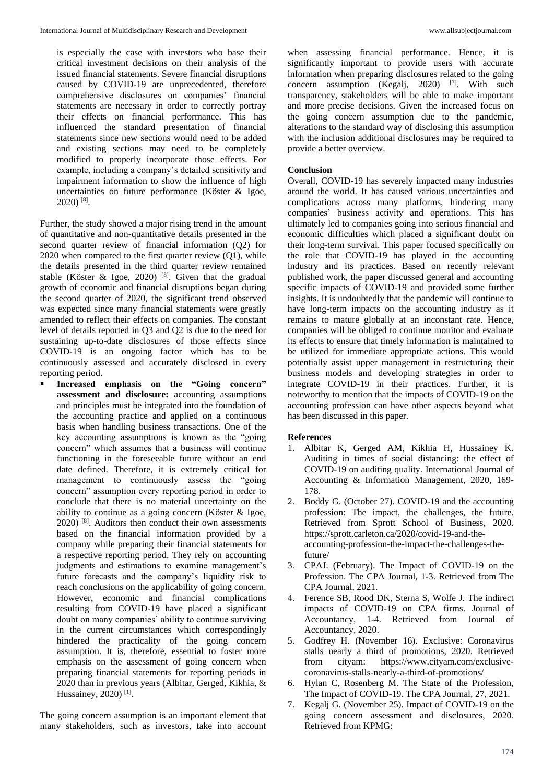is especially the case with investors who base their critical investment decisions on their analysis of the issued financial statements. Severe financial disruptions caused by COVID-19 are unprecedented, therefore comprehensive disclosures on companies' financial statements are necessary in order to correctly portray their effects on financial performance. This has influenced the standard presentation of financial statements since new sections would need to be added and existing sections may need to be completely modified to properly incorporate those effects. For example, including a company's detailed sensitivity and impairment information to show the influence of high uncertainties on future performance (Köster & Igoe, 2020) [8] .

Further, the study showed a major rising trend in the amount of quantitative and non-quantitative details presented in the second quarter review of financial information (Q2) for 2020 when compared to the first quarter review (Q1), while the details presented in the third quarter review remained stable (Köster & Igoe, 2020)<sup>[8]</sup>. Given that the gradual growth of economic and financial disruptions began during the second quarter of 2020, the significant trend observed was expected since many financial statements were greatly amended to reflect their effects on companies. The constant level of details reported in Q3 and Q2 is due to the need for sustaining up-to-date disclosures of those effects since COVID-19 is an ongoing factor which has to be continuously assessed and accurately disclosed in every reporting period.

 **Increased emphasis on the "Going concern" assessment and disclosure:** accounting assumptions and principles must be integrated into the foundation of the accounting practice and applied on a continuous basis when handling business transactions. One of the key accounting assumptions is known as the "going concern" which assumes that a business will continue functioning in the foreseeable future without an end date defined. Therefore, it is extremely critical for management to continuously assess the "going concern" assumption every reporting period in order to conclude that there is no material uncertainty on the ability to continue as a going concern (Köster & Igoe,  $2020$ )<sup>[8]</sup>. Auditors then conduct their own assessments based on the financial information provided by a company while preparing their financial statements for a respective reporting period. They rely on accounting judgments and estimations to examine management's future forecasts and the company's liquidity risk to reach conclusions on the applicability of going concern. However, economic and financial complications resulting from COVID-19 have placed a significant doubt on many companies' ability to continue surviving in the current circumstances which correspondingly hindered the practicality of the going concern assumption. It is, therefore, essential to foster more emphasis on the assessment of going concern when preparing financial statements for reporting periods in 2020 than in previous years (Albitar, Gerged, Kikhia, & Hussainey, 2020)<sup>[1]</sup>.

when assessing financial performance. Hence, it is significantly important to provide users with accurate information when preparing disclosures related to the going concern assumption (Kegalj, 2020) <sup>[7]</sup>. With such transparency, stakeholders will be able to make important and more precise decisions. Given the increased focus on the going concern assumption due to the pandemic, alterations to the standard way of disclosing this assumption with the inclusion additional disclosures may be required to provide a better overview.

#### **Conclusion**

Overall, COVID-19 has severely impacted many industries around the world. It has caused various uncertainties and complications across many platforms, hindering many companies' business activity and operations. This has ultimately led to companies going into serious financial and economic difficulties which placed a significant doubt on their long-term survival. This paper focused specifically on the role that COVID-19 has played in the accounting industry and its practices. Based on recently relevant published work, the paper discussed general and accounting specific impacts of COVID-19 and provided some further insights. It is undoubtedly that the pandemic will continue to have long-term impacts on the accounting industry as it remains to mature globally at an inconstant rate. Hence, companies will be obliged to continue monitor and evaluate its effects to ensure that timely information is maintained to be utilized for immediate appropriate actions. This would potentially assist upper management in restructuring their business models and developing strategies in order to integrate COVID-19 in their practices. Further, it is noteworthy to mention that the impacts of COVID-19 on the accounting profession can have other aspects beyond what has been discussed in this paper.

#### **References**

- 1. Albitar K, Gerged AM, Kikhia H, Hussainey K. Auditing in times of social distancing: the effect of COVID-19 on auditing quality. International Journal of Accounting & Information Management, 2020, 169- 178.
- 2. Boddy G. (October 27). COVID-19 and the accounting profession: The impact, the challenges, the future. Retrieved from Sprott School of Business, 2020. https://sprott.carleton.ca/2020/covid-19-and-theaccounting-profession-the-impact-the-challenges-thefuture/
- 3. CPAJ. (February). The Impact of COVID-19 on the Profession. The CPA Journal, 1-3. Retrieved from The CPA Journal, 2021.
- 4. Ference SB, Rood DK, Sterna S, Wolfe J. The indirect impacts of COVID-19 on CPA firms. Journal of Accountancy, 1-4. Retrieved from Journal of Accountancy, 2020.
- 5. Godfrey H. (November 16). Exclusive: Coronavirus stalls nearly a third of promotions, 2020. Retrieved from cityam: https://www.cityam.com/exclusivecoronavirus-stalls-nearly-a-third-of-promotions/
- 6. Hylan C, Rosenberg M. The State of the Profession, The Impact of COVID-19. The CPA Journal, 27, 2021.
- 7. Kegalj G. (November 25). Impact of COVID-19 on the going concern assessment and disclosures, 2020. Retrieved from KPMG:
- The going concern assumption is an important element that many stakeholders, such as investors, take into account